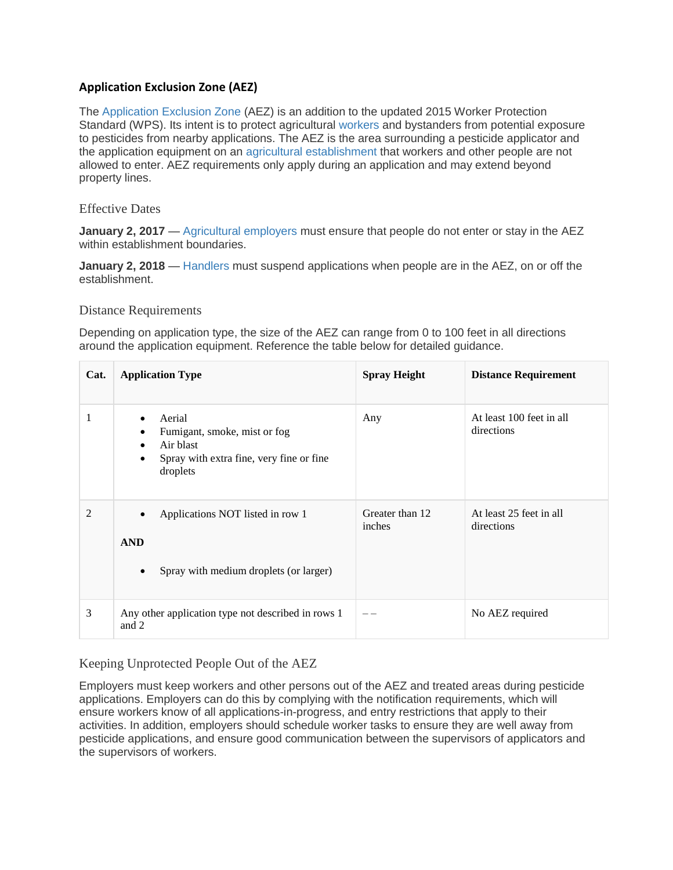# **Application Exclusion Zone (AEZ)**

The [Application Exclusion Zone](http://www.pesticideresources.org/wps/definitions/aez.html) (AEZ) is an addition to the updated 2015 Worker Protection Standard (WPS). Its intent is to protect agricultural [workers](http://www.pesticideresources.org/wps/definitions/worker.html) and bystanders from potential exposure to pesticides from nearby applications. The AEZ is the area surrounding a pesticide applicator and the application equipment on an [agricultural establishment](http://www.pesticideresources.org/wps/definitions/agestablishment.html) that workers and other people are not allowed to enter. AEZ requirements only apply during an application and may extend beyond property lines.

### Effective Dates

**January 2, 2017** — [Agricultural employers](http://www.pesticideresources.org/wps/definitions/agemployer.html) must ensure that people do not enter or stay in the AEZ within establishment boundaries.

**January 2, 2018** — [Handlers](http://www.pesticideresources.org/wps/definitions/handler.html) must suspend applications when people are in the AEZ, on or off the establishment.

#### Distance Requirements

Depending on application type, the size of the AEZ can range from 0 to 100 feet in all directions around the application equipment. Reference the table below for detailed guidance.

| Cat.           | <b>Application Type</b>                                                                                                                             | <b>Spray Height</b>       | <b>Distance Requirement</b>            |
|----------------|-----------------------------------------------------------------------------------------------------------------------------------------------------|---------------------------|----------------------------------------|
|                | Aerial<br>Fumigant, smoke, mist or fog<br>$\bullet$<br>Air blast<br>$\bullet$<br>Spray with extra fine, very fine or fine.<br>$\bullet$<br>droplets | Any                       | At least 100 feet in all<br>directions |
| $\overline{c}$ | Applications NOT listed in row 1<br><b>AND</b><br>Spray with medium droplets (or larger)<br>$\bullet$                                               | Greater than 12<br>inches | At least 25 feet in all<br>directions  |
| 3              | Any other application type not described in rows 1<br>and 2                                                                                         |                           | No AEZ required                        |

# Keeping Unprotected People Out of the AEZ

Employers must keep workers and other persons out of the AEZ and treated areas during pesticide applications. Employers can do this by complying with the notification requirements, which will ensure workers know of all applications-in-progress, and entry restrictions that apply to their activities. In addition, employers should schedule worker tasks to ensure they are well away from pesticide applications, and ensure good communication between the supervisors of applicators and the supervisors of workers.